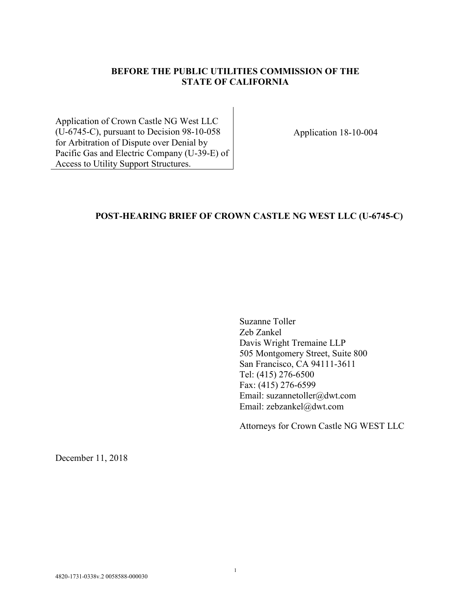### **BEFORE THE PUBLIC UTILITIES COMMISSION OF THE STATE OF CALIFORNIA**

Application of Crown Castle NG West LLC (U-6745-C), pursuant to Decision 98-10-058 for Arbitration of Dispute over Denial by Pacific Gas and Electric Company (U-39-E) of Access to Utility Support Structures.

Application 18-10-004

# **POST-HEARING BRIEF OF CROWN CASTLE NG WEST LLC (U-6745-C)**

Suzanne Toller Zeb Zankel Davis Wright Tremaine LLP 505 Montgomery Street, Suite 800 San Francisco, CA 94111-3611 Tel: (415) 276-6500 Fax: (415) 276-6599 Email: suzannetoller@dwt.com Email: zebzankel@dwt.com

Attorneys for Crown Castle NG WEST LLC

December 11, 2018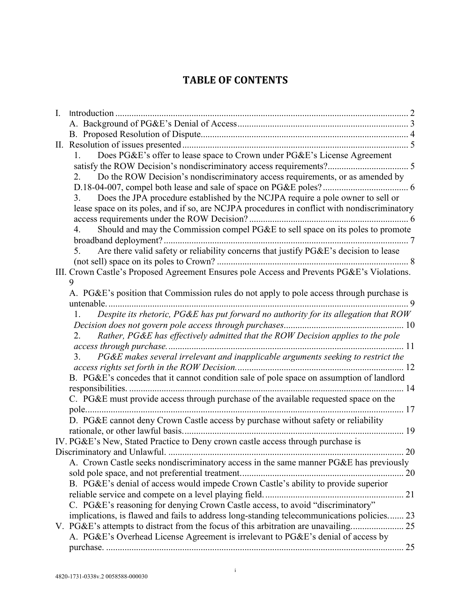# **TABLE OF CONTENTS**

| $\mathbf{I}$ . |                                                                                              |  |
|----------------|----------------------------------------------------------------------------------------------|--|
|                |                                                                                              |  |
|                |                                                                                              |  |
|                |                                                                                              |  |
|                | Does PG&E's offer to lease space to Crown under PG&E's License Agreement<br>1.               |  |
|                |                                                                                              |  |
|                | Do the ROW Decision's nondiscriminatory access requirements, or as amended by<br>2.          |  |
|                |                                                                                              |  |
|                | Does the JPA procedure established by the NCJPA require a pole owner to sell or<br>3.        |  |
|                | lease space on its poles, and if so, are NCJPA procedures in conflict with nondiscriminatory |  |
|                |                                                                                              |  |
|                | Should and may the Commission compel PG&E to sell space on its poles to promote<br>4.        |  |
|                |                                                                                              |  |
|                | Are there valid safety or reliability concerns that justify PG&E's decision to lease<br>5.   |  |
|                |                                                                                              |  |
|                | III. Crown Castle's Proposed Agreement Ensures pole Access and Prevents PG&E's Violations.   |  |
|                | 9                                                                                            |  |
|                | A. PG&E's position that Commission rules do not apply to pole access through purchase is     |  |
|                | untenable                                                                                    |  |
|                | Despite its rhetoric, PG&E has put forward no authority for its allegation that ROW<br>1.    |  |
|                |                                                                                              |  |
|                | Rather, PG&E has effectively admitted that the ROW Decision applies to the pole<br>2.        |  |
|                |                                                                                              |  |
|                | PG&E makes several irrelevant and inapplicable arguments seeking to restrict the<br>3.       |  |
|                |                                                                                              |  |
|                | B. PG&E's concedes that it cannot condition sale of pole space on assumption of landlord     |  |
|                |                                                                                              |  |
|                | C. PG&E must provide access through purchase of the available requested space on the         |  |
|                |                                                                                              |  |
|                | D. PG&E cannot deny Crown Castle access by purchase without safety or reliability            |  |
|                |                                                                                              |  |
|                | IV. PG&E's New, Stated Practice to Deny crown castle access through purchase is              |  |
|                |                                                                                              |  |
|                | A. Crown Castle seeks nondiscriminatory access in the same manner PG&E has previously        |  |
|                |                                                                                              |  |
|                | B. PG&E's denial of access would impede Crown Castle's ability to provide superior           |  |
|                |                                                                                              |  |
|                | C. PG&E's reasoning for denying Crown Castle access, to avoid "discriminatory"               |  |
|                | implications, is flawed and fails to address long-standing telecommunications policies 23    |  |
|                |                                                                                              |  |
|                | A. PG&E's Overhead License Agreement is irrelevant to PG&E's denial of access by             |  |
|                |                                                                                              |  |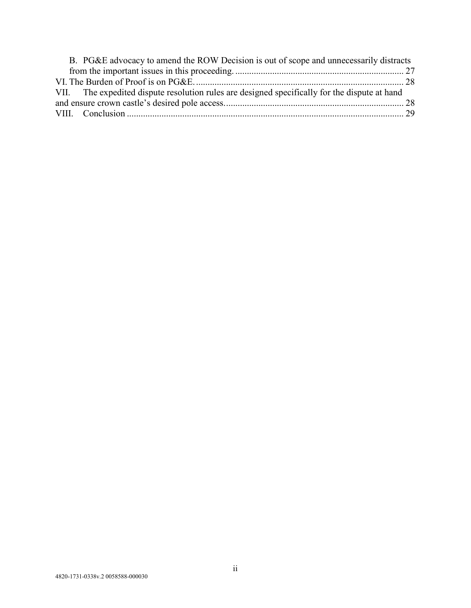| B. PG&E advocacy to amend the ROW Decision is out of scope and unnecessarily distracts        |  |  |  |
|-----------------------------------------------------------------------------------------------|--|--|--|
|                                                                                               |  |  |  |
|                                                                                               |  |  |  |
| VII. The expedited dispute resolution rules are designed specifically for the dispute at hand |  |  |  |
|                                                                                               |  |  |  |
|                                                                                               |  |  |  |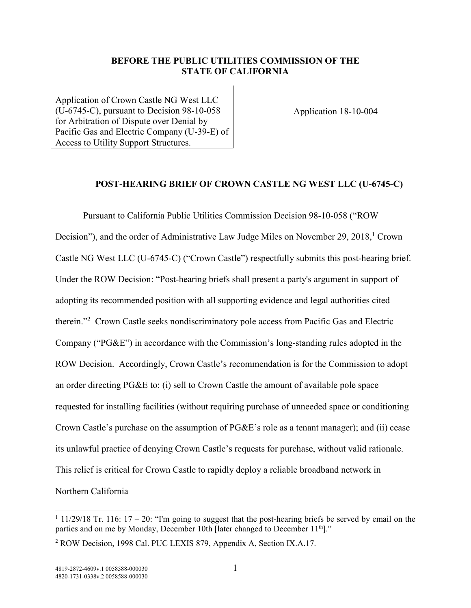#### **BEFORE THE PUBLIC UTILITIES COMMISSION OF THE STATE OF CALIFORNIA**

Application of Crown Castle NG West LLC (U-6745-C), pursuant to Decision 98-10-058 for Arbitration of Dispute over Denial by Pacific Gas and Electric Company (U-39-E) of Access to Utility Support Structures.

Application 18-10-004

#### **POST-HEARING BRIEF OF CROWN CASTLE NG WEST LLC (U-6745-C)**

Pursuant to California Public Utilities Commission Decision 98-10-058 ("ROW Decision"), and the order of Administrative Law Judge Miles on November 29, 2018,<sup>1</sup> Crown Castle NG West LLC (U-6745-C) ("Crown Castle") respectfully submits this post-hearing brief. Under the ROW Decision: "Post-hearing briefs shall present a party's argument in support of adopting its recommended position with all supporting evidence and legal authorities cited therein."<sup>2</sup> Crown Castle seeks nondiscriminatory pole access from Pacific Gas and Electric Company ("PG&E") in accordance with the Commission's long-standing rules adopted in the ROW Decision. Accordingly, Crown Castle's recommendation is for the Commission to adopt an order directing PG&E to: (i) sell to Crown Castle the amount of available pole space requested for installing facilities (without requiring purchase of unneeded space or conditioning Crown Castle's purchase on the assumption of  $P G \& E$ 's role as a tenant manager); and (ii) cease its unlawful practice of denying Crown Castle's requests for purchase, without valid rationale. This relief is critical for Crown Castle to rapidly deploy a reliable broadband network in Northern California

 $11/29/18$  Tr. 116: 17 – 20: "I'm going to suggest that the post-hearing briefs be served by email on the parties and on me by Monday, December 10th [later changed to December 11<sup>th</sup>]."

<sup>2</sup> ROW Decision, 1998 Cal. PUC LEXIS 879, Appendix A, Section IX.A.17.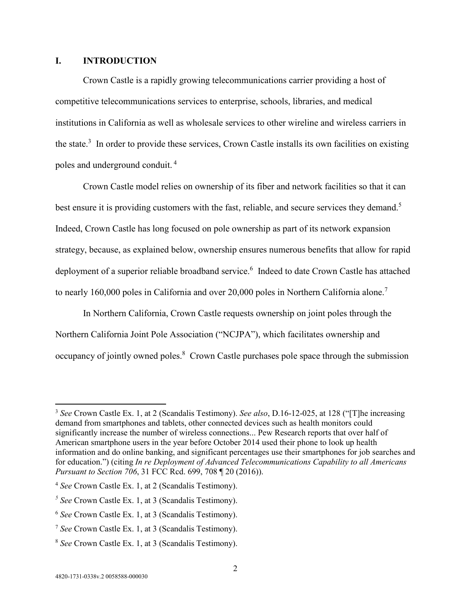#### **I. INTRODUCTION**

Crown Castle is a rapidly growing telecommunications carrier providing a host of competitive telecommunications services to enterprise, schools, libraries, and medical institutions in California as well as wholesale services to other wireline and wireless carriers in the state. $3$  In order to provide these services, Crown Castle installs its own facilities on existing poles and underground conduit.<sup>4</sup>

Crown Castle model relies on ownership of its fiber and network facilities so that it can best ensure it is providing customers with the fast, reliable, and secure services they demand.<sup>5</sup> Indeed, Crown Castle has long focused on pole ownership as part of its network expansion strategy, because, as explained below, ownership ensures numerous benefits that allow for rapid deployment of a superior reliable broadband service.<sup>6</sup> Indeed to date Crown Castle has attached to nearly 160,000 poles in California and over 20,000 poles in Northern California alone.<sup>7</sup>

In Northern California, Crown Castle requests ownership on joint poles through the Northern California Joint Pole Association ("NCJPA"), which facilitates ownership and occupancy of jointly owned poles.<sup>8</sup> Crown Castle purchases pole space through the submission

<sup>3</sup> *See* Crown Castle Ex. 1, at 2 (Scandalis Testimony). *See also*, D.16-12-025, at 128 ("[T]he increasing demand from smartphones and tablets, other connected devices such as health monitors could significantly increase the number of wireless connections... Pew Research reports that over half of American smartphone users in the year before October 2014 used their phone to look up health information and do online banking, and significant percentages use their smartphones for job searches and for education.") (citing *In re Deployment of Advanced Telecommunications Capability to all Americans Pursuant to Section 706*, 31 FCC Rcd. 699, 708 ¶ 20 (2016)).

<sup>4</sup> *See* Crown Castle Ex. 1, at 2 (Scandalis Testimony).

 $<sup>5</sup>$  See Crown Castle Ex. 1, at 3 (Scandalis Testimony).</sup>

<sup>6</sup> *See* Crown Castle Ex. 1, at 3 (Scandalis Testimony).

<sup>7</sup> *See* Crown Castle Ex. 1, at 3 (Scandalis Testimony).

<sup>8</sup> *See* Crown Castle Ex. 1, at 3 (Scandalis Testimony).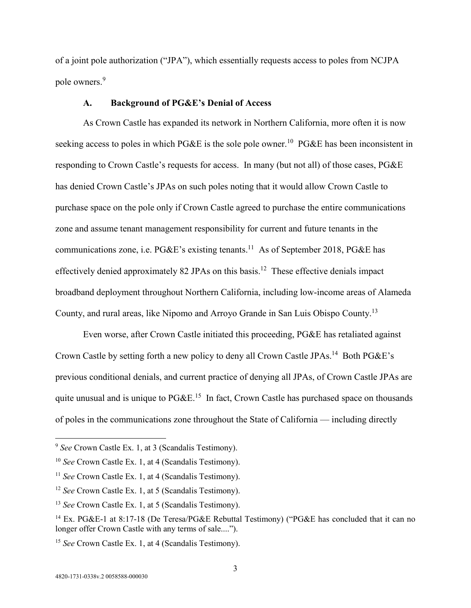of a joint pole authorization ("JPA"), which essentially requests access to poles from NCJPA pole owners.<sup>9</sup>

#### **A. Background of PG&E's Denial of Access**

As Crown Castle has expanded its network in Northern California, more often it is now seeking access to poles in which PG&E is the sole pole owner.<sup>10</sup> PG&E has been inconsistent in responding to Crown Castle's requests for access. In many (but not all) of those cases, PG&E has denied Crown Castle's JPAs on such poles noting that it would allow Crown Castle to purchase space on the pole only if Crown Castle agreed to purchase the entire communications zone and assume tenant management responsibility for current and future tenants in the communications zone, i.e. PG&E's existing tenants.<sup>11</sup> As of September 2018, PG&E has effectively denied approximately 82 JPAs on this basis.<sup>12</sup> These effective denials impact broadband deployment throughout Northern California, including low-income areas of Alameda County, and rural areas, like Nipomo and Arroyo Grande in San Luis Obispo County.<sup>13</sup>

Even worse, after Crown Castle initiated this proceeding, PG&E has retaliated against Crown Castle by setting forth a new policy to deny all Crown Castle JPAs.<sup>14</sup> Both PG&E's previous conditional denials, and current practice of denying all JPAs, of Crown Castle JPAs are quite unusual and is unique to  $P G \& E$ <sup>15</sup> In fact, Crown Castle has purchased space on thousands of poles in the communications zone throughout the State of California — including directly

<sup>9</sup> *See* Crown Castle Ex. 1, at 3 (Scandalis Testimony).

<sup>10</sup> *See* Crown Castle Ex. 1, at 4 (Scandalis Testimony).

<sup>&</sup>lt;sup>11</sup> *See* Crown Castle Ex. 1, at 4 (Scandalis Testimony).

<sup>&</sup>lt;sup>12</sup> *See* Crown Castle Ex. 1, at 5 (Scandalis Testimony).

<sup>&</sup>lt;sup>13</sup> *See* Crown Castle Ex. 1, at 5 (Scandalis Testimony).

<sup>&</sup>lt;sup>14</sup> Ex. PG&E-1 at 8:17-18 (De Teresa/PG&E Rebuttal Testimony) ("PG&E has concluded that it can no longer offer Crown Castle with any terms of sale....").

<sup>&</sup>lt;sup>15</sup> *See* Crown Castle Ex. 1, at 4 (Scandalis Testimony).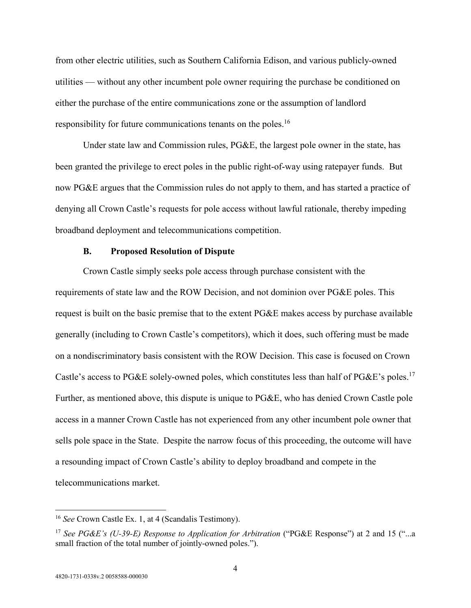from other electric utilities, such as Southern California Edison, and various publicly-owned utilities — without any other incumbent pole owner requiring the purchase be conditioned on either the purchase of the entire communications zone or the assumption of landlord responsibility for future communications tenants on the poles.<sup>16</sup>

Under state law and Commission rules, PG&E, the largest pole owner in the state, has been granted the privilege to erect poles in the public right-of-way using ratepayer funds. But now PG&E argues that the Commission rules do not apply to them, and has started a practice of denying all Crown Castle's requests for pole access without lawful rationale, thereby impeding broadband deployment and telecommunications competition.

#### **B. Proposed Resolution of Dispute**

Crown Castle simply seeks pole access through purchase consistent with the requirements of state law and the ROW Decision, and not dominion over PG&E poles. This request is built on the basic premise that to the extent PG&E makes access by purchase available generally (including to Crown Castle's competitors), which it does, such offering must be made on a nondiscriminatory basis consistent with the ROW Decision. This case is focused on Crown Castle's access to PG&E solely-owned poles, which constitutes less than half of PG&E's poles.<sup>17</sup> Further, as mentioned above, this dispute is unique to PG&E, who has denied Crown Castle pole access in a manner Crown Castle has not experienced from any other incumbent pole owner that sells pole space in the State. Despite the narrow focus of this proceeding, the outcome will have a resounding impact of Crown Castle's ability to deploy broadband and compete in the telecommunications market.

<sup>&</sup>lt;sup>16</sup> *See* Crown Castle Ex. 1, at 4 (Scandalis Testimony).

<sup>&</sup>lt;sup>17</sup> See PG&E's (U-39-E) Response to Application for Arbitration ("PG&E Response") at 2 and 15 ("...a small fraction of the total number of jointly-owned poles.").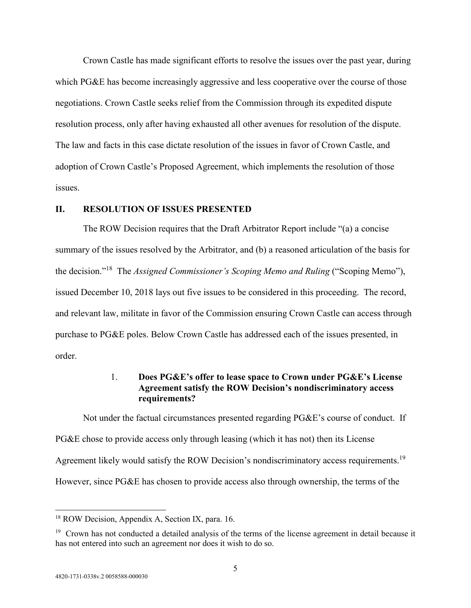Crown Castle has made significant efforts to resolve the issues over the past year, during which PG&E has become increasingly aggressive and less cooperative over the course of those negotiations. Crown Castle seeks relief from the Commission through its expedited dispute resolution process, only after having exhausted all other avenues for resolution of the dispute. The law and facts in this case dictate resolution of the issues in favor of Crown Castle, and adoption of Crown Castle's Proposed Agreement, which implements the resolution of those issues.

#### **II. RESOLUTION OF ISSUES PRESENTED**

The ROW Decision requires that the Draft Arbitrator Report include "(a) a concise summary of the issues resolved by the Arbitrator, and (b) a reasoned articulation of the basis for the decision."<sup>18</sup> The *Assigned Commissioner's Scoping Memo and Ruling* ("Scoping Memo"), issued December 10, 2018 lays out five issues to be considered in this proceeding. The record, and relevant law, militate in favor of the Commission ensuring Crown Castle can access through purchase to PG&E poles. Below Crown Castle has addressed each of the issues presented, in order.

### 1. **Does PG&E's offer to lease space to Crown under PG&E's License Agreement satisfy the ROW Decision's nondiscriminatory access requirements?**

Not under the factual circumstances presented regarding PG&E's course of conduct. If PG&E chose to provide access only through leasing (which it has not) then its License Agreement likely would satisfy the ROW Decision's nondiscriminatory access requirements.<sup>19</sup> However, since PG&E has chosen to provide access also through ownership, the terms of the

<sup>&</sup>lt;sup>18</sup> ROW Decision, Appendix A, Section IX, para. 16.

 $19$  Crown has not conducted a detailed analysis of the terms of the license agreement in detail because it has not entered into such an agreement nor does it wish to do so.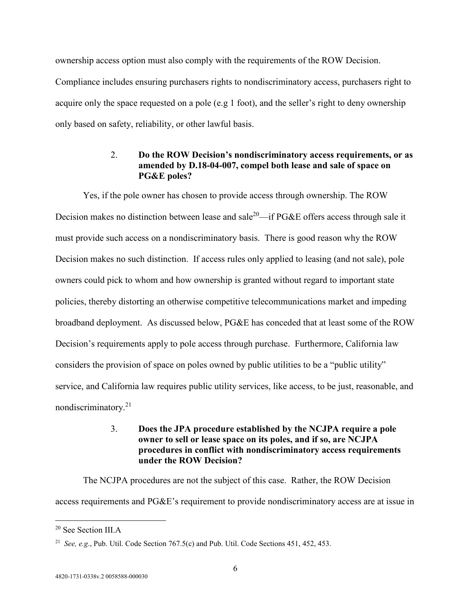ownership access option must also comply with the requirements of the ROW Decision. Compliance includes ensuring purchasers rights to nondiscriminatory access, purchasers right to acquire only the space requested on a pole (e.g 1 foot), and the seller's right to deny ownership only based on safety, reliability, or other lawful basis.

### 2. **Do the ROW Decision's nondiscriminatory access requirements, or as amended by D.18-04-007, compel both lease and sale of space on PG&E poles?**

Yes, if the pole owner has chosen to provide access through ownership. The ROW Decision makes no distinction between lease and sale<sup>20</sup>—if PG&E offers access through sale it must provide such access on a nondiscriminatory basis. There is good reason why the ROW Decision makes no such distinction. If access rules only applied to leasing (and not sale), pole owners could pick to whom and how ownership is granted without regard to important state policies, thereby distorting an otherwise competitive telecommunications market and impeding broadband deployment. As discussed below, PG&E has conceded that at least some of the ROW Decision's requirements apply to pole access through purchase. Furthermore, California law considers the provision of space on poles owned by public utilities to be a "public utility" service, and California law requires public utility services, like access, to be just, reasonable, and nondiscriminatory.<sup>21</sup>

### 3. **Does the JPA procedure established by the NCJPA require a pole owner to sell or lease space on its poles, and if so, are NCJPA procedures in conflict with nondiscriminatory access requirements under the ROW Decision?**

The NCJPA procedures are not the subject of this case. Rather, the ROW Decision access requirements and PG&E's requirement to provide nondiscriminatory access are at issue in

<sup>20</sup> See Section III.A

<sup>21</sup> *See, e.g*., Pub. Util. Code Section 767.5(c) and Pub. Util. Code Sections 451, 452, 453.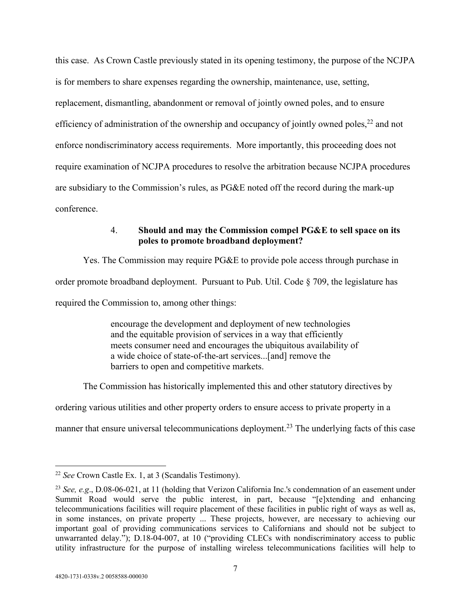this case. As Crown Castle previously stated in its opening testimony, the purpose of the NCJPA is for members to share expenses regarding the ownership, maintenance, use, setting, replacement, dismantling, abandonment or removal of jointly owned poles, and to ensure efficiency of administration of the ownership and occupancy of jointly owned poles,  $^{22}$  and not enforce nondiscriminatory access requirements. More importantly, this proceeding does not require examination of NCJPA procedures to resolve the arbitration because NCJPA procedures are subsidiary to the Commission's rules, as PG&E noted off the record during the mark-up conference.

### 4. **Should and may the Commission compel PG&E to sell space on its poles to promote broadband deployment?**

Yes. The Commission may require PG&E to provide pole access through purchase in order promote broadband deployment. Pursuant to Pub. Util. Code § 709, the legislature has required the Commission to, among other things:

> encourage the development and deployment of new technologies and the equitable provision of services in a way that efficiently meets consumer need and encourages the ubiquitous availability of a wide choice of state-of-the-art services...[and] remove the barriers to open and competitive markets.

The Commission has historically implemented this and other statutory directives by

ordering various utilities and other property orders to ensure access to private property in a

manner that ensure universal telecommunications deployment.<sup>23</sup> The underlying facts of this case

<sup>22</sup> *See* Crown Castle Ex. 1, at 3 (Scandalis Testimony).

<sup>23</sup> *See, e.g*., D.08-06-021, at 11 (holding that Verizon California Inc.'s condemnation of an easement under Summit Road would serve the public interest, in part, because "[e]xtending and enhancing telecommunications facilities will require placement of these facilities in public right of ways as well as, in some instances, on private property ... These projects, however, are necessary to achieving our important goal of providing communications services to Californians and should not be subject to unwarranted delay."); D.18-04-007, at 10 ("providing CLECs with nondiscriminatory access to public utility infrastructure for the purpose of installing wireless telecommunications facilities will help to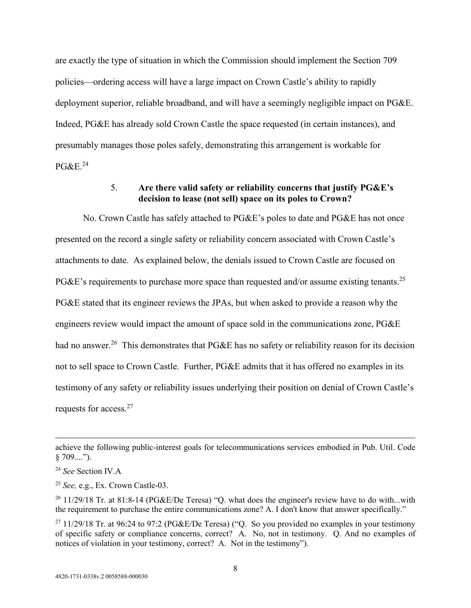are exactly the type of situation in which the Commission should implement the Section 709 policies—ordering access will have a large impact on Crown Castle's ability to rapidly deployment superior, reliable broadband, and will have a seemingly negligible impact on PG&E. Indeed, PG&E has already sold Crown Castle the space requested (in certain instances), and presumably manages those poles safely, demonstrating this arrangement is workable for PG&E.<sup>24</sup>

### 5. **Are there valid safety or reliability concerns that justify PG&E's decision to lease (not sell) space on its poles to Crown?**

No. Crown Castle has safely attached to PG&E's poles to date and PG&E has not once presented on the record a single safety or reliability concern associated with Crown Castle's attachments to date. As explained below, the denials issued to Crown Castle are focused on PG&E's requirements to purchase more space than requested and/or assume existing tenants.<sup>25</sup> PG&E stated that its engineer reviews the JPAs, but when asked to provide a reason why the engineers review would impact the amount of space sold in the communications zone, PG&E had no answer.<sup>26</sup> This demonstrates that PG&E has no safety or reliability reason for its decision not to sell space to Crown Castle. Further, PG&E admits that it has offered no examples in its testimony of any safety or reliability issues underlying their position on denial of Crown Castle's requests for access.<sup>27</sup>

achieve the following public-interest goals for telecommunications services embodied in Pub. Util. Code § 709....").

<sup>24</sup> *See* Section IV.A

<sup>25</sup> *See,* e.g., Ex. Crown Castle-03.

 $^{26}$  11/29/18 Tr. at 81:8-14 (PG&E/De Teresa) "Q. what does the engineer's review have to do with...with the requirement to purchase the entire communications zone? A. I don't know that answer specifically."

<sup>&</sup>lt;sup>27</sup> 11/29/18 Tr. at 96:24 to 97:2 (PG&E/De Teresa) ("Q. So you provided no examples in your testimony of specific safety or compliance concerns, correct? A. No, not in testimony. Q. And no examples of notices of violation in your testimony, correct? A. Not in the testimony").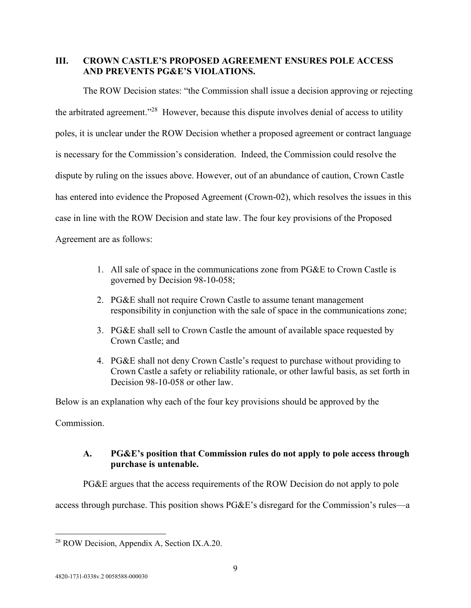### **III. CROWN CASTLE'S PROPOSED AGREEMENT ENSURES POLE ACCESS AND PREVENTS PG&E'S VIOLATIONS.**

The ROW Decision states: "the Commission shall issue a decision approving or rejecting the arbitrated agreement."<sup>28</sup> However, because this dispute involves denial of access to utility poles, it is unclear under the ROW Decision whether a proposed agreement or contract language is necessary for the Commission's consideration. Indeed, the Commission could resolve the dispute by ruling on the issues above. However, out of an abundance of caution, Crown Castle has entered into evidence the Proposed Agreement (Crown-02), which resolves the issues in this case in line with the ROW Decision and state law. The four key provisions of the Proposed Agreement are as follows:

- 1. All sale of space in the communications zone from PG&E to Crown Castle is governed by Decision 98-10-058;
- 2. PG&E shall not require Crown Castle to assume tenant management responsibility in conjunction with the sale of space in the communications zone;
- 3. PG&E shall sell to Crown Castle the amount of available space requested by Crown Castle; and
- 4. PG&E shall not deny Crown Castle's request to purchase without providing to Crown Castle a safety or reliability rationale, or other lawful basis, as set forth in Decision 98-10-058 or other law.

Below is an explanation why each of the four key provisions should be approved by the

Commission.

# **A. PG&E's position that Commission rules do not apply to pole access through purchase is untenable.**

PG&E argues that the access requirements of the ROW Decision do not apply to pole

access through purchase. This position shows PG&E's disregard for the Commission's rules—a

<sup>28</sup> ROW Decision, Appendix A, Section IX.A.20.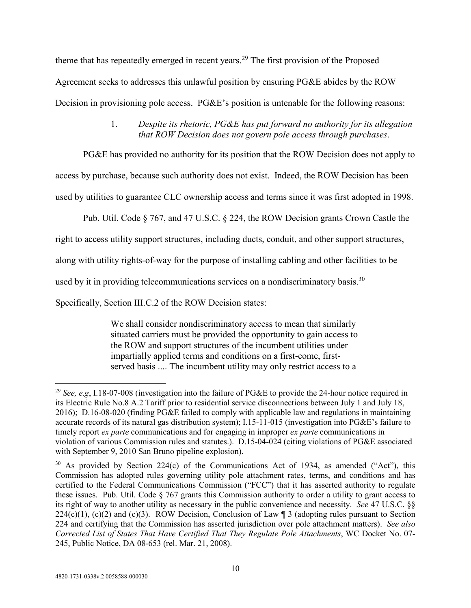theme that has repeatedly emerged in recent years.<sup>29</sup> The first provision of the Proposed Agreement seeks to addresses this unlawful position by ensuring PG&E abides by the ROW Decision in provisioning pole access. PG&E's position is untenable for the following reasons:

# 1. *Despite its rhetoric, PG&E has put forward no authority for its allegation that ROW Decision does not govern pole access through purchases*.

PG&E has provided no authority for its position that the ROW Decision does not apply to

access by purchase, because such authority does not exist. Indeed, the ROW Decision has been

used by utilities to guarantee CLC ownership access and terms since it was first adopted in 1998.

Pub. Util. Code § 767, and 47 U.S.C. § 224, the ROW Decision grants Crown Castle the

right to access utility support structures, including ducts, conduit, and other support structures,

along with utility rights-of-way for the purpose of installing cabling and other facilities to be

used by it in providing telecommunications services on a nondiscriminatory basis.<sup>30</sup>

Specifically, Section III.C.2 of the ROW Decision states:

We shall consider nondiscriminatory access to mean that similarly situated carriers must be provided the opportunity to gain access to the ROW and support structures of the incumbent utilities under impartially applied terms and conditions on a first-come, firstserved basis .... The incumbent utility may only restrict access to a

<sup>29</sup> *See, e.g*, I.18-07-008 (investigation into the failure of PG&E to provide the 24-hour notice required in its Electric Rule No.8 A.2 Tariff prior to residential service disconnections between July 1 and July 18, 2016); D.16-08-020 (finding PG&E failed to comply with applicable law and regulations in maintaining accurate records of its natural gas distribution system); I.15-11-015 (investigation into PG&E's failure to timely report *ex parte* communications and for engaging in improper *ex parte* communications in violation of various Commission rules and statutes.). D.15-04-024 (citing violations of PG&E associated with September 9, 2010 San Bruno pipeline explosion).

 $30$  As provided by Section 224(c) of the Communications Act of 1934, as amended ("Act"), this Commission has adopted rules governing utility pole attachment rates, terms, and conditions and has certified to the Federal Communications Commission ("FCC") that it has asserted authority to regulate these issues. Pub. Util. Code § 767 grants this Commission authority to order a utility to grant access to its right of way to another utility as necessary in the public convenience and necessity. *See* 47 U.S.C. §§  $224(c)(1)$ , (c)(2) and (c)(3). ROW Decision, Conclusion of Law ¶ 3 (adopting rules pursuant to Section 224 and certifying that the Commission has asserted jurisdiction over pole attachment matters). *See also Corrected List of States That Have Certified That They Regulate Pole Attachments*, WC Docket No. 07- 245, Public Notice, DA 08-653 (rel. Mar. 21, 2008).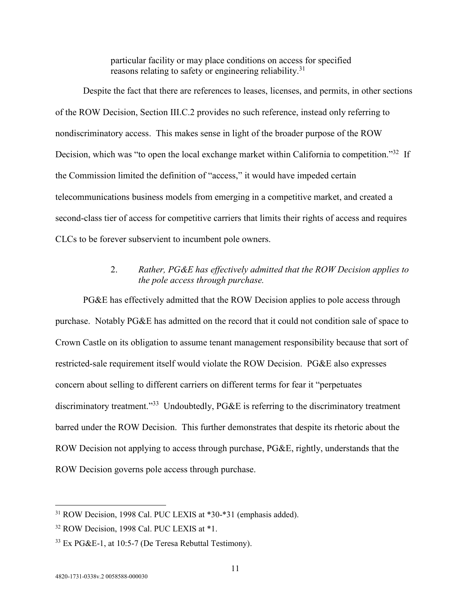particular facility or may place conditions on access for specified reasons relating to safety or engineering reliability.<sup>31</sup>

Despite the fact that there are references to leases, licenses, and permits, in other sections of the ROW Decision, Section III.C.2 provides no such reference, instead only referring to nondiscriminatory access. This makes sense in light of the broader purpose of the ROW Decision, which was "to open the local exchange market within California to competition."<sup>32</sup> If the Commission limited the definition of "access," it would have impeded certain telecommunications business models from emerging in a competitive market, and created a second-class tier of access for competitive carriers that limits their rights of access and requires CLCs to be forever subservient to incumbent pole owners.

#### 2. *Rather, PG&E has effectively admitted that the ROW Decision applies to the pole access through purchase.*

PG&E has effectively admitted that the ROW Decision applies to pole access through purchase. Notably PG&E has admitted on the record that it could not condition sale of space to Crown Castle on its obligation to assume tenant management responsibility because that sort of restricted-sale requirement itself would violate the ROW Decision. PG&E also expresses concern about selling to different carriers on different terms for fear it "perpetuates discriminatory treatment."<sup>33</sup> Undoubtedly, PG&E is referring to the discriminatory treatment barred under the ROW Decision. This further demonstrates that despite its rhetoric about the ROW Decision not applying to access through purchase, PG&E, rightly, understands that the ROW Decision governs pole access through purchase.

<sup>31</sup> ROW Decision, 1998 Cal. PUC LEXIS at \*30-\*31 (emphasis added).

<sup>&</sup>lt;sup>32</sup> ROW Decision, 1998 Cal. PUC LEXIS at \*1.

<sup>33</sup> Ex PG&E-1, at 10:5-7 (De Teresa Rebuttal Testimony).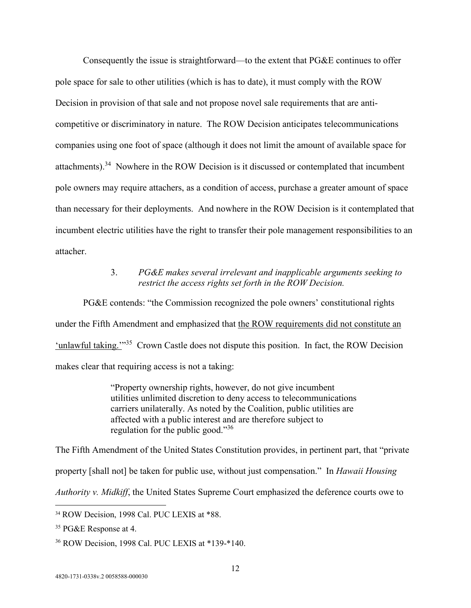Consequently the issue is straightforward—to the extent that PG&E continues to offer pole space for sale to other utilities (which is has to date), it must comply with the ROW Decision in provision of that sale and not propose novel sale requirements that are anticompetitive or discriminatory in nature. The ROW Decision anticipates telecommunications companies using one foot of space (although it does not limit the amount of available space for attachments).<sup>34</sup> Nowhere in the ROW Decision is it discussed or contemplated that incumbent pole owners may require attachers, as a condition of access, purchase a greater amount of space than necessary for their deployments. And nowhere in the ROW Decision is it contemplated that incumbent electric utilities have the right to transfer their pole management responsibilities to an attacher.

### 3. *PG&E makes several irrelevant and inapplicable arguments seeking to restrict the access rights set forth in the ROW Decision.*

PG&E contends: "the Commission recognized the pole owners' constitutional rights under the Fifth Amendment and emphasized that the ROW requirements did not constitute an 'unlawful taking."<sup>35</sup> Crown Castle does not dispute this position. In fact, the ROW Decision makes clear that requiring access is not a taking:

> "Property ownership rights, however, do not give incumbent utilities unlimited discretion to deny access to telecommunications carriers unilaterally. As noted by the Coalition, public utilities are affected with a public interest and are therefore subject to regulation for the public good."<sup>36</sup>

The Fifth Amendment of the United States Constitution provides, in pertinent part, that "private

property [shall not] be taken for public use, without just compensation." In *Hawaii Housing* 

*Authority v. Midkiff*, the United States Supreme Court emphasized the deference courts owe to

<sup>35</sup> PG&E Response at 4.

<sup>34</sup> ROW Decision, 1998 Cal. PUC LEXIS at \*88.

<sup>36</sup> ROW Decision, 1998 Cal. PUC LEXIS at \*139-\*140.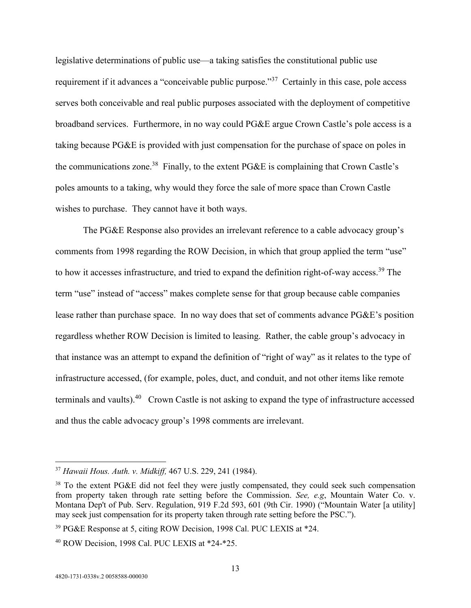legislative determinations of public use—a taking satisfies the constitutional public use requirement if it advances a "conceivable public purpose."<sup>37</sup> Certainly in this case, pole access serves both conceivable and real public purposes associated with the deployment of competitive broadband services. Furthermore, in no way could PG&E argue Crown Castle's pole access is a taking because PG&E is provided with just compensation for the purchase of space on poles in the communications zone.<sup>38</sup> Finally, to the extent  $P G \& E$  is complaining that Crown Castle's poles amounts to a taking, why would they force the sale of more space than Crown Castle wishes to purchase. They cannot have it both ways.

The PG&E Response also provides an irrelevant reference to a cable advocacy group's comments from 1998 regarding the ROW Decision, in which that group applied the term "use" to how it accesses infrastructure, and tried to expand the definition right-of-way access.<sup>39</sup> The term "use" instead of "access" makes complete sense for that group because cable companies lease rather than purchase space. In no way does that set of comments advance PG&E's position regardless whether ROW Decision is limited to leasing. Rather, the cable group's advocacy in that instance was an attempt to expand the definition of "right of way" as it relates to the type of infrastructure accessed, (for example, poles, duct, and conduit, and not other items like remote terminals and vaults).<sup>40</sup> Crown Castle is not asking to expand the type of infrastructure accessed and thus the cable advocacy group's 1998 comments are irrelevant.

<sup>37</sup> *Hawaii Hous. Auth. v. Midkiff,* 467 U.S. 229, 241 (1984).

<sup>&</sup>lt;sup>38</sup> To the extent PG&E did not feel they were justly compensated, they could seek such compensation from property taken through rate setting before the Commission. *See, e.g*, Mountain Water Co. v. Montana Dep't of Pub. Serv. Regulation, 919 F.2d 593, 601 (9th Cir. 1990) ("Mountain Water [a utility] may seek just compensation for its property taken through rate setting before the PSC.").

<sup>&</sup>lt;sup>39</sup> PG&E Response at 5, citing ROW Decision, 1998 Cal. PUC LEXIS at \*24.

<sup>40</sup> ROW Decision, 1998 Cal. PUC LEXIS at \*24-\*25.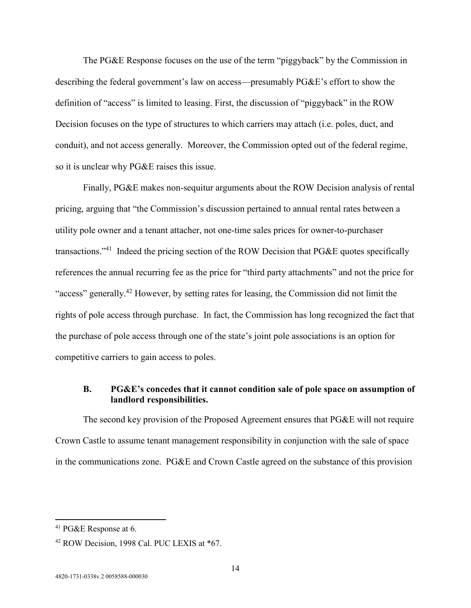The PG&E Response focuses on the use of the term "piggyback" by the Commission in describing the federal government's law on access—presumably PG&E's effort to show the definition of "access" is limited to leasing. First, the discussion of "piggyback" in the ROW Decision focuses on the type of structures to which carriers may attach (i.e. poles, duct, and conduit), and not access generally. Moreover, the Commission opted out of the federal regime, so it is unclear why PG&E raises this issue.

Finally, PG&E makes non-sequitur arguments about the ROW Decision analysis of rental pricing, arguing that "the Commission's discussion pertained to annual rental rates between a utility pole owner and a tenant attacher, not one-time sales prices for owner-to-purchaser transactions."<sup>41</sup> Indeed the pricing section of the ROW Decision that PG&E quotes specifically references the annual recurring fee as the price for "third party attachments" and not the price for "access" generally.<sup>42</sup> However, by setting rates for leasing, the Commission did not limit the rights of pole access through purchase. In fact, the Commission has long recognized the fact that the purchase of pole access through one of the state's joint pole associations is an option for competitive carriers to gain access to poles.

# **B. PG&E's concedes that it cannot condition sale of pole space on assumption of landlord responsibilities.**

The second key provision of the Proposed Agreement ensures that PG&E will not require Crown Castle to assume tenant management responsibility in conjunction with the sale of space in the communications zone. PG&E and Crown Castle agreed on the substance of this provision

<sup>41</sup> PG&E Response at 6.

<sup>42</sup> ROW Decision, 1998 Cal. PUC LEXIS at \*67.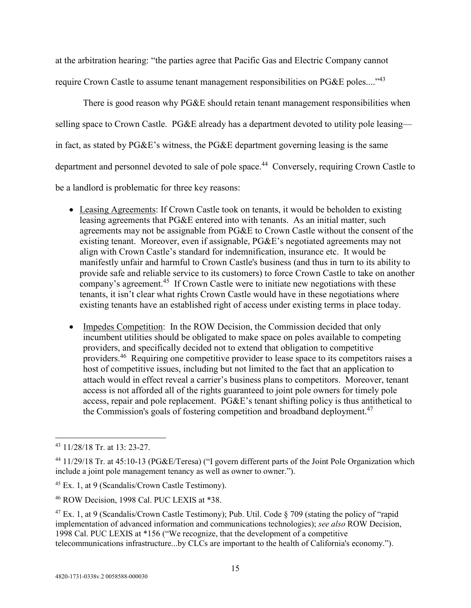at the arbitration hearing: "the parties agree that Pacific Gas and Electric Company cannot require Crown Castle to assume tenant management responsibilities on PG&E poles...."<sup>43</sup>

There is good reason why PG&E should retain tenant management responsibilities when selling space to Crown Castle. PG&E already has a department devoted to utility pole leasing in fact, as stated by PG&E's witness, the PG&E department governing leasing is the same department and personnel devoted to sale of pole space.<sup>44</sup> Conversely, requiring Crown Castle to be a landlord is problematic for three key reasons:

- Leasing Agreements: If Crown Castle took on tenants, it would be beholden to existing leasing agreements that PG&E entered into with tenants. As an initial matter, such agreements may not be assignable from PG&E to Crown Castle without the consent of the existing tenant. Moreover, even if assignable, PG&E's negotiated agreements may not align with Crown Castle's standard for indemnification, insurance etc. It would be manifestly unfair and harmful to Crown Castle's business (and thus in turn to its ability to provide safe and reliable service to its customers) to force Crown Castle to take on another company's agreement.<sup>45</sup> If Crown Castle were to initiate new negotiations with these tenants, it isn't clear what rights Crown Castle would have in these negotiations where existing tenants have an established right of access under existing terms in place today.
- Impedes Competition: In the ROW Decision, the Commission decided that only incumbent utilities should be obligated to make space on poles available to competing providers, and specifically decided not to extend that obligation to competitive providers.<sup>46</sup> Requiring one competitive provider to lease space to its competitors raises a host of competitive issues, including but not limited to the fact that an application to attach would in effect reveal a carrier's business plans to competitors. Moreover, tenant access is not afforded all of the rights guaranteed to joint pole owners for timely pole access, repair and pole replacement. PG&E's tenant shifting policy is thus antithetical to the Commission's goals of fostering competition and broadband deployment.<sup>47</sup>

<sup>43</sup> 11/28/18 Tr. at 13: 23-27.

<sup>44</sup> 11/29/18 Tr. at 45:10-13 (PG&E/Teresa) ("I govern different parts of the Joint Pole Organization which include a joint pole management tenancy as well as owner to owner.").

<sup>45</sup> Ex. 1, at 9 (Scandalis/Crown Castle Testimony).

<sup>46</sup> ROW Decision, 1998 Cal. PUC LEXIS at \*38.

 $47$  Ex. 1, at 9 (Scandalis/Crown Castle Testimony); Pub. Util. Code § 709 (stating the policy of "rapid" implementation of advanced information and communications technologies); *see also* ROW Decision, 1998 Cal. PUC LEXIS at \*156 ("We recognize, that the development of a competitive telecommunications infrastructure...by CLCs are important to the health of California's economy.").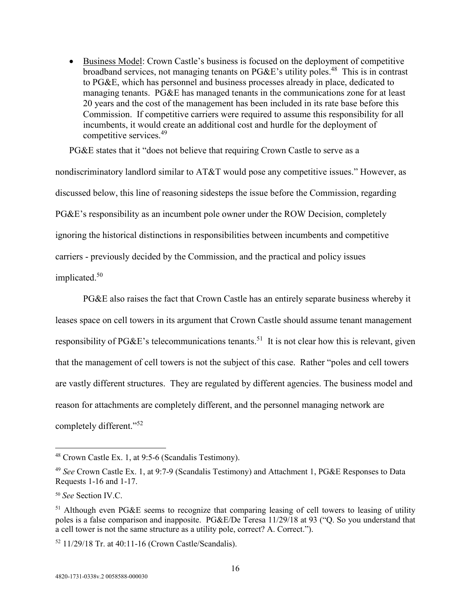**Business Model:** Crown Castle's business is focused on the deployment of competitive broadband services, not managing tenants on PG&E's utility poles.<sup>48</sup> This is in contrast to PG&E, which has personnel and business processes already in place, dedicated to managing tenants. PG&E has managed tenants in the communications zone for at least 20 years and the cost of the management has been included in its rate base before this Commission. If competitive carriers were required to assume this responsibility for all incumbents, it would create an additional cost and hurdle for the deployment of competitive services.<sup>49</sup>

PG&E states that it "does not believe that requiring Crown Castle to serve as a nondiscriminatory landlord similar to AT&T would pose any competitive issues." However, as discussed below, this line of reasoning sidesteps the issue before the Commission, regarding PG&E's responsibility as an incumbent pole owner under the ROW Decision, completely ignoring the historical distinctions in responsibilities between incumbents and competitive carriers - previously decided by the Commission, and the practical and policy issues implicated.<sup>50</sup>

PG&E also raises the fact that Crown Castle has an entirely separate business whereby it leases space on cell towers in its argument that Crown Castle should assume tenant management responsibility of PG&E's telecommunications tenants.<sup>51</sup> It is not clear how this is relevant, given that the management of cell towers is not the subject of this case. Rather "poles and cell towers are vastly different structures. They are regulated by different agencies. The business model and reason for attachments are completely different, and the personnel managing network are completely different."<sup>52</sup>

<sup>48</sup> Crown Castle Ex. 1, at 9:5-6 (Scandalis Testimony).

<sup>49</sup> *See* Crown Castle Ex. 1, at 9:7-9 (Scandalis Testimony) and Attachment 1, PG&E Responses to Data Requests 1-16 and 1-17.

<sup>50</sup> *See* Section IV.C.

<sup>&</sup>lt;sup>51</sup> Although even PG&E seems to recognize that comparing leasing of cell towers to leasing of utility poles is a false comparison and inapposite. PG&E/De Teresa 11/29/18 at 93 ("Q. So you understand that a cell tower is not the same structure as a utility pole, correct? A. Correct.").

<sup>52</sup> 11/29/18 Tr. at 40:11-16 (Crown Castle/Scandalis).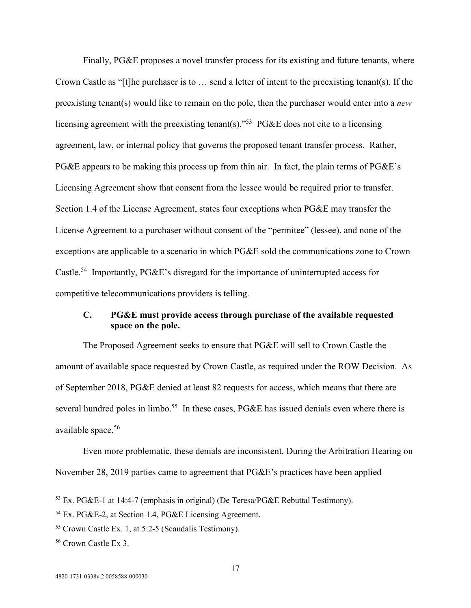Finally, PG&E proposes a novel transfer process for its existing and future tenants, where Crown Castle as "[t]he purchaser is to … send a letter of intent to the preexisting tenant(s). If the preexisting tenant(s) would like to remain on the pole, then the purchaser would enter into a *new*  licensing agreement with the preexisting tenant(s).<sup> $53$ </sup> PG&E does not cite to a licensing agreement, law, or internal policy that governs the proposed tenant transfer process. Rather, PG&E appears to be making this process up from thin air. In fact, the plain terms of PG&E's Licensing Agreement show that consent from the lessee would be required prior to transfer. Section 1.4 of the License Agreement, states four exceptions when PG&E may transfer the License Agreement to a purchaser without consent of the "permitee" (lessee), and none of the exceptions are applicable to a scenario in which PG&E sold the communications zone to Crown Castle.<sup>54</sup> Importantly, PG&E's disregard for the importance of uninterrupted access for competitive telecommunications providers is telling.

### **C. PG&E must provide access through purchase of the available requested space on the pole.**

The Proposed Agreement seeks to ensure that PG&E will sell to Crown Castle the amount of available space requested by Crown Castle, as required under the ROW Decision. As of September 2018, PG&E denied at least 82 requests for access, which means that there are several hundred poles in limbo.<sup>55</sup> In these cases, PG&E has issued denials even where there is available space.<sup>56</sup>

Even more problematic, these denials are inconsistent. During the Arbitration Hearing on November 28, 2019 parties came to agreement that PG&E's practices have been applied

<sup>53</sup> Ex. PG&E-1 at 14:4-7 (emphasis in original) (De Teresa/PG&E Rebuttal Testimony).

<sup>54</sup> Ex. PG&E-2, at Section 1.4, PG&E Licensing Agreement.

<sup>55</sup> Crown Castle Ex. 1, at 5:2-5 (Scandalis Testimony).

<sup>56</sup> Crown Castle Ex 3.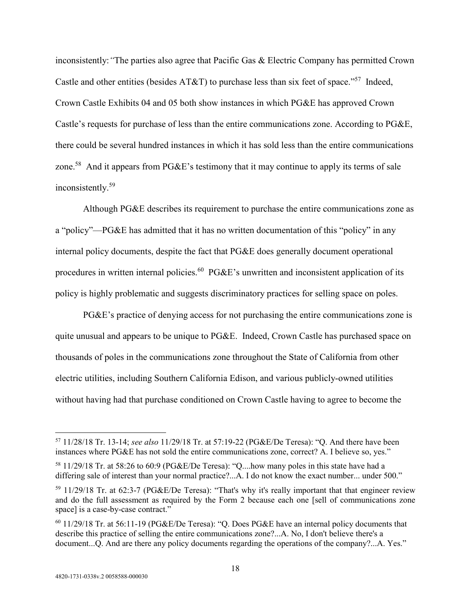inconsistently:*"*The parties also agree that Pacific Gas & Electric Company has permitted Crown Castle and other entities (besides AT&T) to purchase less than six feet of space."<sup>57</sup> Indeed, Crown Castle Exhibits 04 and 05 both show instances in which PG&E has approved Crown Castle's requests for purchase of less than the entire communications zone. According to PG&E, there could be several hundred instances in which it has sold less than the entire communications zone.<sup>58</sup> And it appears from PG&E's testimony that it may continue to apply its terms of sale inconsistently.<sup>59</sup>

Although PG&E describes its requirement to purchase the entire communications zone as a "policy"—PG&E has admitted that it has no written documentation of this "policy" in any internal policy documents, despite the fact that PG&E does generally document operational procedures in written internal policies.<sup>60</sup> PG&E's unwritten and inconsistent application of its policy is highly problematic and suggests discriminatory practices for selling space on poles.

PG&E's practice of denying access for not purchasing the entire communications zone is quite unusual and appears to be unique to PG&E. Indeed, Crown Castle has purchased space on thousands of poles in the communications zone throughout the State of California from other electric utilities, including Southern California Edison, and various publicly-owned utilities without having had that purchase conditioned on Crown Castle having to agree to become the

<sup>57</sup> 11/28/18 Tr. 13-14; *see also* 11/29/18 Tr. at 57:19-22 (PG&E/De Teresa): "Q. And there have been instances where PG&E has not sold the entire communications zone, correct? A. I believe so, yes."

<sup>58</sup> 11/29/18 Tr. at 58:26 to 60:9 (PG&E/De Teresa): "Q....how many poles in this state have had a differing sale of interest than your normal practice?...A. I do not know the exact number... under 500."

<sup>59</sup> 11/29/18 Tr. at 62:3-7 (PG&E/De Teresa): "That's why it's really important that that engineer review and do the full assessment as required by the Form 2 because each one [sell of communications zone space] is a case-by-case contract."

<sup>60</sup> 11/29/18 Tr. at 56:11-19 (PG&E/De Teresa): "Q. Does PG&E have an internal policy documents that describe this practice of selling the entire communications zone?...A. No, I don't believe there's a document...Q. And are there any policy documents regarding the operations of the company?...A. Yes."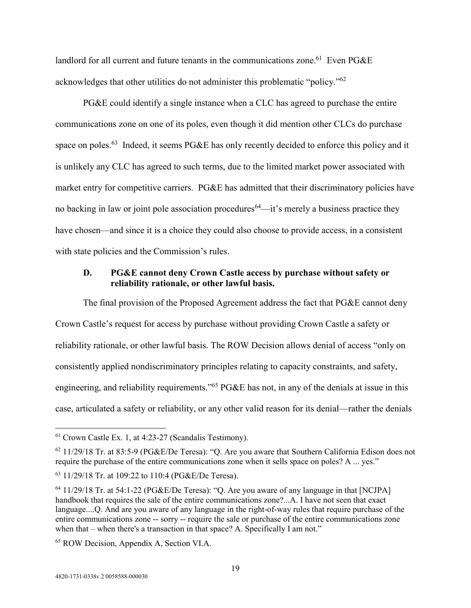landlord for all current and future tenants in the communications zone.<sup>61</sup> Even PG&E acknowledges that other utilities do not administer this problematic "policy."<sup>62</sup>

PG&E could identify a single instance when a CLC has agreed to purchase the entire communications zone on one of its poles, even though it did mention other CLCs do purchase space on poles.<sup>63</sup> Indeed, it seems PG&E has only recently decided to enforce this policy and it is unlikely any CLC has agreed to such terms, due to the limited market power associated with market entry for competitive carriers. PG&E has admitted that their discriminatory policies have no backing in law or joint pole association procedures<sup>64</sup>—it's merely a business practice they have chosen—and since it is a choice they could also choose to provide access, in a consistent with state policies and the Commission's rules.

#### **D. PG&E cannot deny Crown Castle access by purchase without safety or reliability rationale, or other lawful basis.**

The final provision of the Proposed Agreement address the fact that PG&E cannot deny Crown Castle's request for access by purchase without providing Crown Castle a safety or reliability rationale, or other lawful basis. The ROW Decision allows denial of access "only on consistently applied nondiscriminatory principles relating to capacity constraints, and safety, engineering, and reliability requirements."<sup>65</sup> PG&E has not, in any of the denials at issue in this case, articulated a safety or reliability, or any other valid reason for its denial—rather the denials

 $61$  Crown Castle Ex. 1, at 4:23-27 (Scandalis Testimony).

 $62$  11/29/18 Tr. at 83:5-9 (PG&E/De Teresa): "O. Are you aware that Southern California Edison does not require the purchase of the entire communications zone when it sells space on poles? A ... yes."

<sup>63</sup> 11/29/18 Tr. at 109:22 to 110:4 (PG&E/De Teresa).

<sup>64</sup> 11/29/18 Tr. at 54:1-22 (PG&E/De Teresa): "Q. Are you aware of any language in that [NCJPA] handbook that requires the sale of the entire communications zone?...A. I have not seen that exact language....Q. And are you aware of any language in the right-of-way rules that require purchase of the entire communications zone -- sorry -- require the sale or purchase of the entire communications zone when that – when there's a transaction in that space? A. Specifically I am not."

<sup>65</sup> ROW Decision, Appendix A, Section VI.A.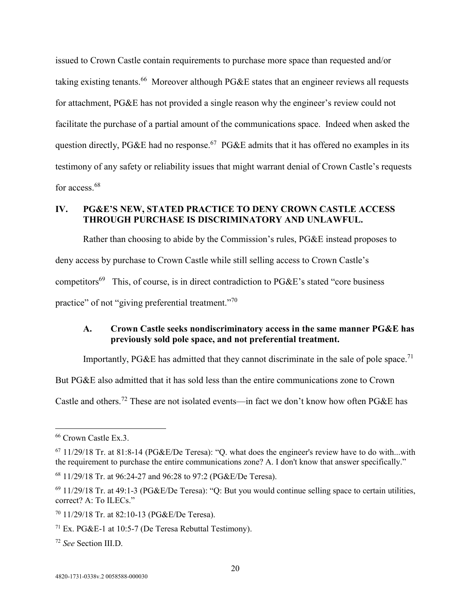issued to Crown Castle contain requirements to purchase more space than requested and/or taking existing tenants.<sup>66</sup> Moreover although PG&E states that an engineer reviews all requests for attachment, PG&E has not provided a single reason why the engineer's review could not facilitate the purchase of a partial amount of the communications space. Indeed when asked the question directly, PG&E had no response.<sup>67</sup> PG&E admits that it has offered no examples in its testimony of any safety or reliability issues that might warrant denial of Crown Castle's requests for access.<sup>68</sup>

# **IV. PG&E'S NEW, STATED PRACTICE TO DENY CROWN CASTLE ACCESS THROUGH PURCHASE IS DISCRIMINATORY AND UNLAWFUL.**

Rather than choosing to abide by the Commission's rules, PG&E instead proposes to deny access by purchase to Crown Castle while still selling access to Crown Castle's competitors<sup>69</sup> This, of course, is in direct contradiction to  $PGEE$ 's stated "core business" practice" of not "giving preferential treatment."<sup>70</sup>

### **A. Crown Castle seeks nondiscriminatory access in the same manner PG&E has previously sold pole space, and not preferential treatment.**

Importantly, PG&E has admitted that they cannot discriminate in the sale of pole space.<sup>71</sup>

But PG&E also admitted that it has sold less than the entire communications zone to Crown

Castle and others.<sup>72</sup> These are not isolated events—in fact we don't know how often PG&E has

<sup>66</sup> Crown Castle Ex.3.

 $67$  11/29/18 Tr. at 81:8-14 (PG&E/De Teresa): "O. what does the engineer's review have to do with...with the requirement to purchase the entire communications zone? A. I don't know that answer specifically."

<sup>68</sup> 11/29/18 Tr. at 96:24-27 and 96:28 to 97:2 (PG&E/De Teresa).

 $^{69}$  11/29/18 Tr. at 49:1-3 (PG&E/De Teresa): "Q: But you would continue selling space to certain utilities, correct? A: To ILECs."

<sup>70</sup> 11/29/18 Tr. at 82:10-13 (PG&E/De Teresa).

<sup>&</sup>lt;sup>71</sup> Ex. PG&E-1 at 10:5-7 (De Teresa Rebuttal Testimony).

<sup>72</sup> *See* Section III.D.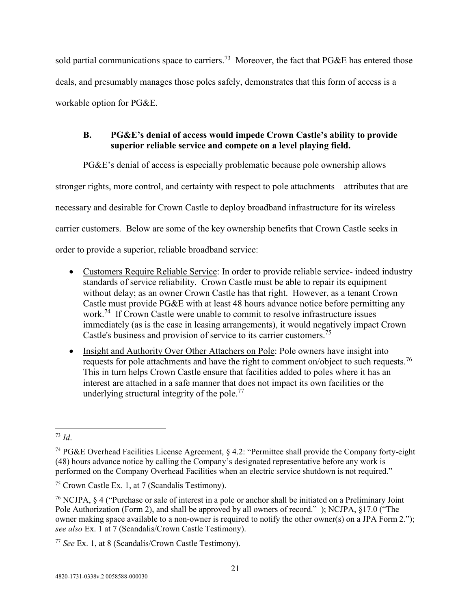sold partial communications space to carriers.<sup>73</sup> Moreover, the fact that PG&E has entered those deals, and presumably manages those poles safely, demonstrates that this form of access is a workable option for PG&E.

# **B. PG&E's denial of access would impede Crown Castle's ability to provide superior reliable service and compete on a level playing field.**

PG&E's denial of access is especially problematic because pole ownership allows

stronger rights, more control, and certainty with respect to pole attachments—attributes that are

necessary and desirable for Crown Castle to deploy broadband infrastructure for its wireless

carrier customers. Below are some of the key ownership benefits that Crown Castle seeks in

order to provide a superior, reliable broadband service:

- Customers Require Reliable Service: In order to provide reliable service- indeed industry standards of service reliability. Crown Castle must be able to repair its equipment without delay; as an owner Crown Castle has that right. However, as a tenant Crown Castle must provide PG&E with at least 48 hours advance notice before permitting any work.<sup>74</sup> If Crown Castle were unable to commit to resolve infrastructure issues immediately (as is the case in leasing arrangements), it would negatively impact Crown Castle's business and provision of service to its carrier customers.<sup>75</sup>
- Insight and Authority Over Other Attachers on Pole: Pole owners have insight into requests for pole attachments and have the right to comment on/object to such requests.<sup>76</sup> This in turn helps Crown Castle ensure that facilities added to poles where it has an interest are attached in a safe manner that does not impact its own facilities or the underlying structural integrity of the pole.<sup>77</sup>

<sup>73</sup> *Id*.

<sup>74</sup> PG&E Overhead Facilities License Agreement, § 4.2: "Permittee shall provide the Company forty-eight (48) hours advance notice by calling the Company's designated representative before any work is performed on the Company Overhead Facilities when an electric service shutdown is not required."

<sup>75</sup> Crown Castle Ex. 1, at 7 (Scandalis Testimony).

<sup>76</sup> NCJPA, § 4 ("Purchase or sale of interest in a pole or anchor shall be initiated on a Preliminary Joint Pole Authorization (Form 2), and shall be approved by all owners of record." ); NCJPA, §17.0 ("The owner making space available to a non-owner is required to notify the other owner(s) on a JPA Form 2."); *see also* Ex. 1 at 7 (Scandalis/Crown Castle Testimony).

<sup>77</sup> *See* Ex. 1, at 8 (Scandalis/Crown Castle Testimony).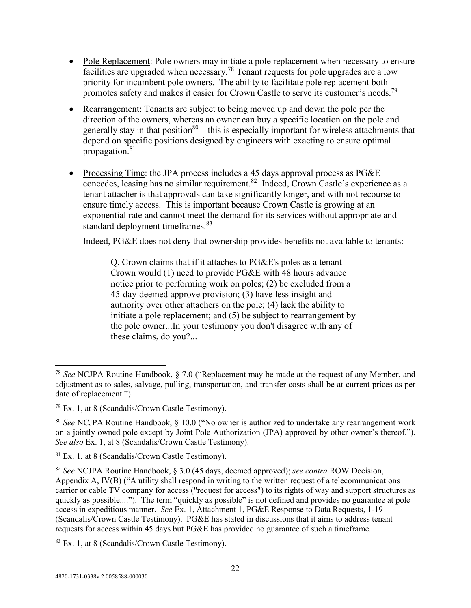- Pole Replacement: Pole owners may initiate a pole replacement when necessary to ensure facilities are upgraded when necessary.<sup>78</sup> Tenant requests for pole upgrades are a low priority for incumbent pole owners. The ability to facilitate pole replacement both promotes safety and makes it easier for Crown Castle to serve its customer's needs.<sup>79</sup>
- Rearrangement: Tenants are subject to being moved up and down the pole per the direction of the owners, whereas an owner can buy a specific location on the pole and generally stay in that position $80$ —this is especially important for wireless attachments that depend on specific positions designed by engineers with exacting to ensure optimal propagation.<sup>81</sup>
- Processing Time: the JPA process includes a 45 days approval process as PG&E  $\overline{\text{concedes}}$ , leasing has no similar requirement.<sup>82</sup> Indeed, Crown Castle's experience as a tenant attacher is that approvals can take significantly longer, and with not recourse to ensure timely access. This is important because Crown Castle is growing at an exponential rate and cannot meet the demand for its services without appropriate and standard deployment timeframes.<sup>83</sup>

Indeed, PG&E does not deny that ownership provides benefits not available to tenants:

Q. Crown claims that if it attaches to PG&E's poles as a tenant Crown would (1) need to provide PG&E with 48 hours advance notice prior to performing work on poles; (2) be excluded from a 45-day-deemed approve provision; (3) have less insight and authority over other attachers on the pole; (4) lack the ability to initiate a pole replacement; and (5) be subject to rearrangement by the pole owner...In your testimony you don't disagree with any of these claims, do you?...

<sup>78</sup> *See* NCJPA Routine Handbook, § 7.0 ("Replacement may be made at the request of any Member, and adjustment as to sales, salvage, pulling, transportation, and transfer costs shall be at current prices as per date of replacement.").

<sup>79</sup> Ex. 1, at 8 (Scandalis/Crown Castle Testimony).

<sup>80</sup> *See* NCJPA Routine Handbook, § 10.0 ("No owner is authorized to undertake any rearrangement work on a jointly owned pole except by Joint Pole Authorization (JPA) approved by other owner's thereof."). *See also* Ex. 1, at 8 (Scandalis/Crown Castle Testimony).

 $81$  Ex. 1, at 8 (Scandalis/Crown Castle Testimony).

<sup>82</sup> *See* NCJPA Routine Handbook, § 3.0 (45 days, deemed approved); *see contra* ROW Decision, Appendix A, IV(B) ("A utility shall respond in writing to the written request of a telecommunications carrier or cable TV company for access ("request for access") to its rights of way and support structures as quickly as possible...."). The term "quickly as possible" is not defined and provides no guarantee at pole access in expeditious manner. *See* Ex. 1, Attachment 1, PG&E Response to Data Requests, 1-19 (Scandalis/Crown Castle Testimony). PG&E has stated in discussions that it aims to address tenant requests for access within 45 days but PG&E has provided no guarantee of such a timeframe.

<sup>83</sup> Ex. 1, at 8 (Scandalis/Crown Castle Testimony).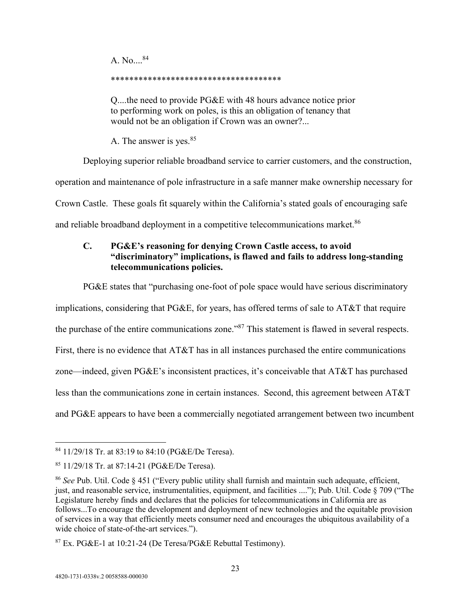A. No....<sup>84</sup>

#### \*\*\*\*\*\*\*\*\*\*\*\*\*\*\*\*\*\*\*\*\*\*\*\*\*\*\*\*\*\*\*\*\*\*\*\*\*

Q....the need to provide PG&E with 48 hours advance notice prior to performing work on poles, is this an obligation of tenancy that would not be an obligation if Crown was an owner?...

A. The answer is yes.<sup>85</sup>

Deploying superior reliable broadband service to carrier customers, and the construction,

operation and maintenance of pole infrastructure in a safe manner make ownership necessary for

Crown Castle. These goals fit squarely within the California's stated goals of encouraging safe

and reliable broadband deployment in a competitive telecommunications market.<sup>86</sup>

# **C. PG&E's reasoning for denying Crown Castle access, to avoid "discriminatory" implications, is flawed and fails to address long-standing telecommunications policies.**

PG&E states that "purchasing one-foot of pole space would have serious discriminatory

implications, considering that PG&E, for years, has offered terms of sale to AT&T that require the purchase of the entire communications zone."<sup>87</sup> This statement is flawed in several respects. First, there is no evidence that AT&T has in all instances purchased the entire communications zone—indeed, given PG&E's inconsistent practices, it's conceivable that AT&T has purchased less than the communications zone in certain instances. Second, this agreement between AT&T and PG&E appears to have been a commercially negotiated arrangement between two incumbent

<sup>84</sup> 11/29/18 Tr. at 83:19 to 84:10 (PG&E/De Teresa).

<sup>85</sup> 11/29/18 Tr. at 87:14-21 (PG&E/De Teresa).

<sup>86</sup> *See* Pub. Util. Code § 451 ("Every public utility shall furnish and maintain such adequate, efficient, just, and reasonable service, instrumentalities, equipment, and facilities ...."); Pub. Util. Code § 709 ("The Legislature hereby finds and declares that the policies for telecommunications in California are as follows...To encourage the development and deployment of new technologies and the equitable provision of services in a way that efficiently meets consumer need and encourages the ubiquitous availability of a wide choice of state-of-the-art services.").

 $87$  Ex. PG&E-1 at 10:21-24 (De Teresa/PG&E Rebuttal Testimony).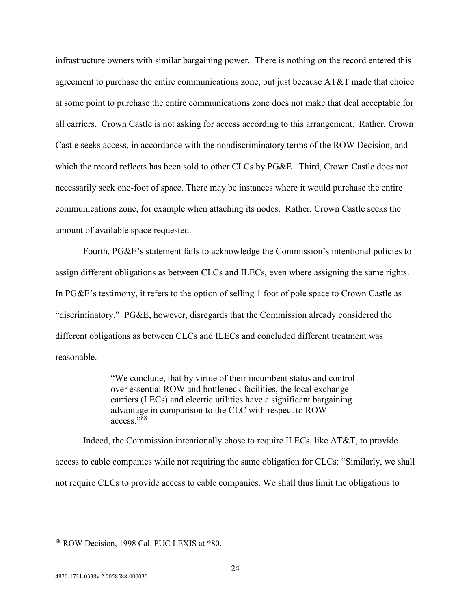infrastructure owners with similar bargaining power. There is nothing on the record entered this agreement to purchase the entire communications zone, but just because AT&T made that choice at some point to purchase the entire communications zone does not make that deal acceptable for all carriers. Crown Castle is not asking for access according to this arrangement. Rather, Crown Castle seeks access, in accordance with the nondiscriminatory terms of the ROW Decision, and which the record reflects has been sold to other CLCs by PG&E. Third, Crown Castle does not necessarily seek one-foot of space. There may be instances where it would purchase the entire communications zone, for example when attaching its nodes. Rather, Crown Castle seeks the amount of available space requested.

Fourth, PG&E's statement fails to acknowledge the Commission's intentional policies to assign different obligations as between CLCs and ILECs, even where assigning the same rights. In PG&E's testimony, it refers to the option of selling 1 foot of pole space to Crown Castle as "discriminatory." PG&E, however, disregards that the Commission already considered the different obligations as between CLCs and ILECs and concluded different treatment was reasonable.

> "We conclude, that by virtue of their incumbent status and control over essential ROW and bottleneck facilities, the local exchange carriers (LECs) and electric utilities have a significant bargaining advantage in comparison to the CLC with respect to ROW access."<sup>88</sup>

Indeed, the Commission intentionally chose to require ILECs, like AT&T, to provide access to cable companies while not requiring the same obligation for CLCs: "Similarly, we shall not require CLCs to provide access to cable companies. We shall thus limit the obligations to

<sup>88</sup> ROW Decision, 1998 Cal. PUC LEXIS at \*80.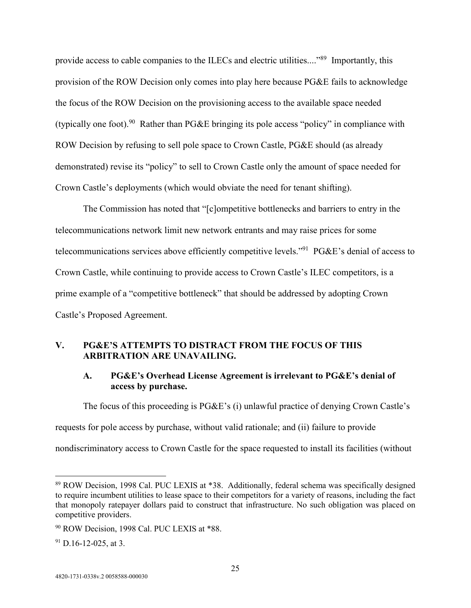provide access to cable companies to the ILECs and electric utilities...."<sup>89</sup> Importantly, this provision of the ROW Decision only comes into play here because PG&E fails to acknowledge the focus of the ROW Decision on the provisioning access to the available space needed (typically one foot).<sup>90</sup> Rather than PG&E bringing its pole access "policy" in compliance with ROW Decision by refusing to sell pole space to Crown Castle, PG&E should (as already demonstrated) revise its "policy" to sell to Crown Castle only the amount of space needed for Crown Castle's deployments (which would obviate the need for tenant shifting).

The Commission has noted that "[c]ompetitive bottlenecks and barriers to entry in the telecommunications network limit new network entrants and may raise prices for some telecommunications services above efficiently competitive levels."<sup>91</sup> PG&E's denial of access to Crown Castle, while continuing to provide access to Crown Castle's ILEC competitors, is a prime example of a "competitive bottleneck" that should be addressed by adopting Crown Castle's Proposed Agreement.

### **V. PG&E'S ATTEMPTS TO DISTRACT FROM THE FOCUS OF THIS ARBITRATION ARE UNAVAILING.**

#### **A. PG&E's Overhead License Agreement is irrelevant to PG&E's denial of access by purchase.**

The focus of this proceeding is PG&E's (i) unlawful practice of denying Crown Castle's

requests for pole access by purchase, without valid rationale; and (ii) failure to provide

nondiscriminatory access to Crown Castle for the space requested to install its facilities (without

<sup>89</sup> ROW Decision, 1998 Cal. PUC LEXIS at \*38. Additionally, federal schema was specifically designed to require incumbent utilities to lease space to their competitors for a variety of reasons, including the fact that monopoly ratepayer dollars paid to construct that infrastructure. No such obligation was placed on competitive providers.

<sup>&</sup>lt;sup>90</sup> ROW Decision, 1998 Cal. PUC LEXIS at \*88.

 $91$  D.16-12-025, at 3.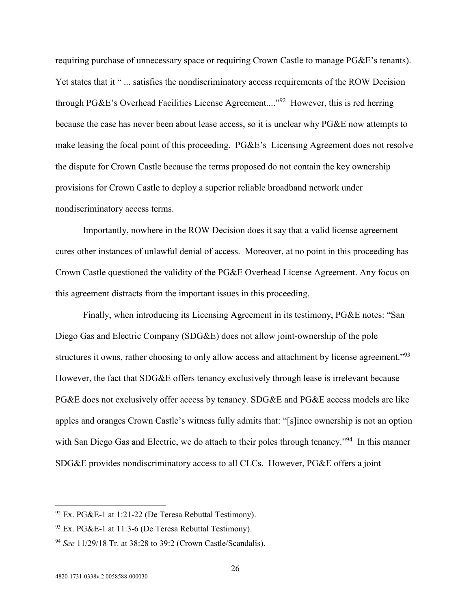requiring purchase of unnecessary space or requiring Crown Castle to manage PG&E's tenants). Yet states that it " ... satisfies the nondiscriminatory access requirements of the ROW Decision through PG&E's Overhead Facilities License Agreement...."<sup>92</sup> However, this is red herring because the case has never been about lease access, so it is unclear why PG&E now attempts to make leasing the focal point of this proceeding. PG&E's Licensing Agreement does not resolve the dispute for Crown Castle because the terms proposed do not contain the key ownership provisions for Crown Castle to deploy a superior reliable broadband network under nondiscriminatory access terms.

Importantly, nowhere in the ROW Decision does it say that a valid license agreement cures other instances of unlawful denial of access. Moreover, at no point in this proceeding has Crown Castle questioned the validity of the PG&E Overhead License Agreement. Any focus on this agreement distracts from the important issues in this proceeding.

Finally, when introducing its Licensing Agreement in its testimony, PG&E notes: "San Diego Gas and Electric Company (SDG&E) does not allow joint-ownership of the pole structures it owns, rather choosing to only allow access and attachment by license agreement."<sup>93</sup> However, the fact that SDG&E offers tenancy exclusively through lease is irrelevant because PG&E does not exclusively offer access by tenancy. SDG&E and PG&E access models are like apples and oranges Crown Castle's witness fully admits that: "[s]ince ownership is not an option with San Diego Gas and Electric, we do attach to their poles through tenancy."<sup>94</sup> In this manner SDG&E provides nondiscriminatory access to all CLCs. However, PG&E offers a joint

 $92$  Ex. PG&E-1 at 1:21-22 (De Teresa Rebuttal Testimony).

 $93$  Ex. PG&E-1 at 11:3-6 (De Teresa Rebuttal Testimony).

<sup>94</sup> *See* 11/29/18 Tr. at 38:28 to 39:2 (Crown Castle/Scandalis).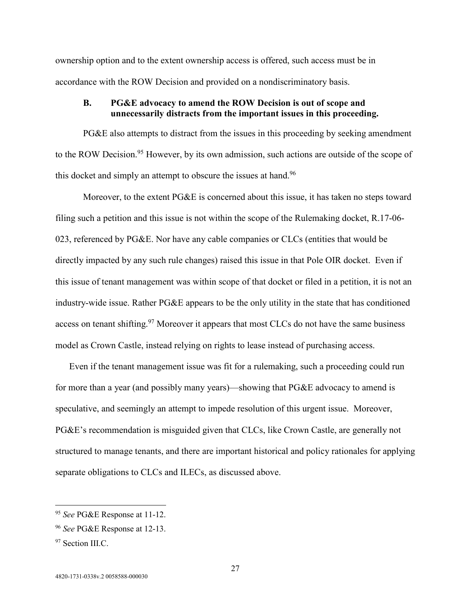ownership option and to the extent ownership access is offered, such access must be in accordance with the ROW Decision and provided on a nondiscriminatory basis.

#### **B. PG&E advocacy to amend the ROW Decision is out of scope and unnecessarily distracts from the important issues in this proceeding.**

PG&E also attempts to distract from the issues in this proceeding by seeking amendment to the ROW Decision.<sup>95</sup> However, by its own admission, such actions are outside of the scope of this docket and simply an attempt to obscure the issues at hand.<sup>96</sup>

Moreover, to the extent PG&E is concerned about this issue, it has taken no steps toward filing such a petition and this issue is not within the scope of the Rulemaking docket, R.17-06- 023, referenced by PG&E. Nor have any cable companies or CLCs (entities that would be directly impacted by any such rule changes) raised this issue in that Pole OIR docket. Even if this issue of tenant management was within scope of that docket or filed in a petition, it is not an industry-wide issue. Rather PG&E appears to be the only utility in the state that has conditioned access on tenant shifting.<sup>97</sup> Moreover it appears that most CLCs do not have the same business model as Crown Castle, instead relying on rights to lease instead of purchasing access.

Even if the tenant management issue was fit for a rulemaking, such a proceeding could run for more than a year (and possibly many years)—showing that PG&E advocacy to amend is speculative, and seemingly an attempt to impede resolution of this urgent issue. Moreover, PG&E's recommendation is misguided given that CLCs, like Crown Castle, are generally not structured to manage tenants, and there are important historical and policy rationales for applying separate obligations to CLCs and ILECs, as discussed above.

<sup>95</sup> *See* PG&E Response at 11-12.

<sup>96</sup> *See* PG&E Response at 12-13.

<sup>&</sup>lt;sup>97</sup> Section III.C.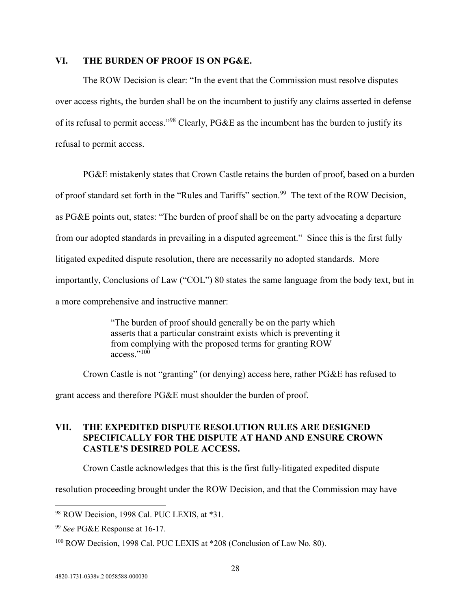#### **VI. THE BURDEN OF PROOF IS ON PG&E.**

The ROW Decision is clear: "In the event that the Commission must resolve disputes over access rights, the burden shall be on the incumbent to justify any claims asserted in defense of its refusal to permit access."<sup>98</sup> Clearly, PG&E as the incumbent has the burden to justify its refusal to permit access.

PG&E mistakenly states that Crown Castle retains the burden of proof, based on a burden of proof standard set forth in the "Rules and Tariffs" section.<sup>99</sup> The text of the ROW Decision, as PG&E points out, states: "The burden of proof shall be on the party advocating a departure from our adopted standards in prevailing in a disputed agreement." Since this is the first fully litigated expedited dispute resolution, there are necessarily no adopted standards. More importantly, Conclusions of Law ("COL") 80 states the same language from the body text, but in a more comprehensive and instructive manner:

> "The burden of proof should generally be on the party which asserts that a particular constraint exists which is preventing it from complying with the proposed terms for granting ROW access."<sup>100</sup>

Crown Castle is not "granting" (or denying) access here, rather PG&E has refused to

grant access and therefore PG&E must shoulder the burden of proof.

#### **VII. THE EXPEDITED DISPUTE RESOLUTION RULES ARE DESIGNED SPECIFICALLY FOR THE DISPUTE AT HAND AND ENSURE CROWN CASTLE'S DESIRED POLE ACCESS.**

Crown Castle acknowledges that this is the first fully-litigated expedited dispute

resolution proceeding brought under the ROW Decision, and that the Commission may have

<sup>98</sup> ROW Decision, 1998 Cal. PUC LEXIS, at \*31.

<sup>99</sup> *See* PG&E Response at 16-17.

<sup>&</sup>lt;sup>100</sup> ROW Decision, 1998 Cal. PUC LEXIS at \*208 (Conclusion of Law No. 80).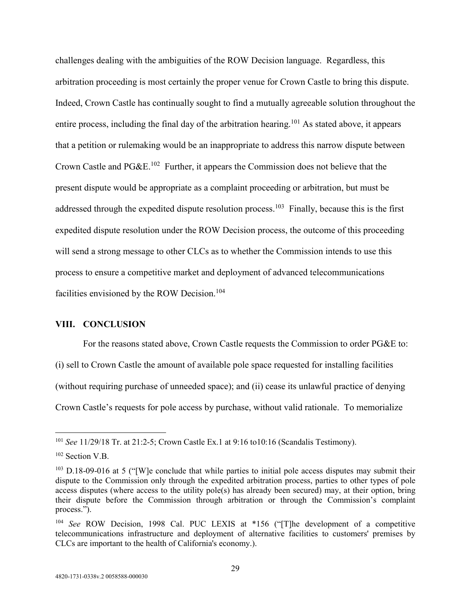challenges dealing with the ambiguities of the ROW Decision language. Regardless, this arbitration proceeding is most certainly the proper venue for Crown Castle to bring this dispute. Indeed, Crown Castle has continually sought to find a mutually agreeable solution throughout the entire process, including the final day of the arbitration hearing.<sup>101</sup> As stated above, it appears that a petition or rulemaking would be an inappropriate to address this narrow dispute between Crown Castle and PG&E.<sup>102</sup> Further, it appears the Commission does not believe that the present dispute would be appropriate as a complaint proceeding or arbitration, but must be addressed through the expedited dispute resolution process.<sup>103</sup> Finally, because this is the first expedited dispute resolution under the ROW Decision process, the outcome of this proceeding will send a strong message to other CLCs as to whether the Commission intends to use this process to ensure a competitive market and deployment of advanced telecommunications facilities envisioned by the ROW Decision.<sup>104</sup>

#### **VIII. CONCLUSION**

For the reasons stated above, Crown Castle requests the Commission to order PG&E to:

(i) sell to Crown Castle the amount of available pole space requested for installing facilities (without requiring purchase of unneeded space); and (ii) cease its unlawful practice of denying Crown Castle's requests for pole access by purchase, without valid rationale. To memorialize

<sup>101</sup> *See* 11/29/18 Tr. at 21:2-5; Crown Castle Ex.1 at 9:16 to10:16 (Scandalis Testimony).

<sup>&</sup>lt;sup>102</sup> Section V.B.

 $103$  D.18-09-016 at 5 ("[W]e conclude that while parties to initial pole access disputes may submit their dispute to the Commission only through the expedited arbitration process, parties to other types of pole access disputes (where access to the utility pole(s) has already been secured) may, at their option, bring their dispute before the Commission through arbitration or through the Commission's complaint process.").

<sup>104</sup> *See* ROW Decision, 1998 Cal. PUC LEXIS at \*156 ("[T]he development of a competitive telecommunications infrastructure and deployment of alternative facilities to customers' premises by CLCs are important to the health of California's economy.).